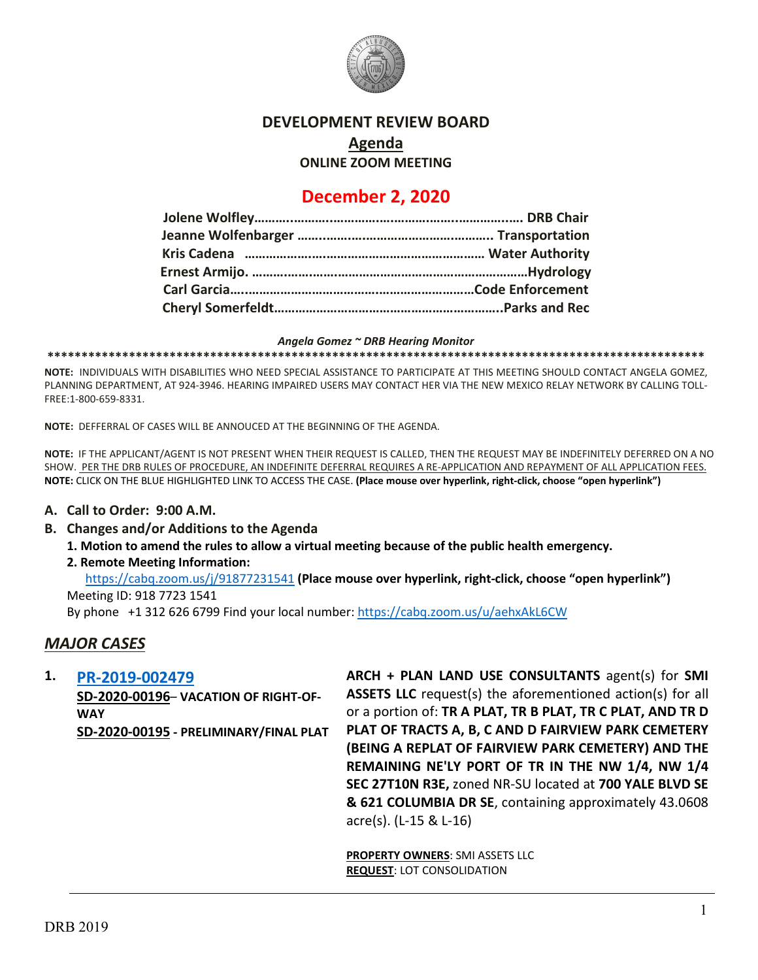

### **DEVELOPMENT REVIEW BOARD**

**Agenda**

**ONLINE ZOOM MEETING**

# **December 2, 2020**

*Angela Gomez ~ DRB Hearing Monitor*

**\*\*\*\*\*\*\*\*\*\*\*\*\*\*\*\*\*\*\*\*\*\*\*\*\*\*\*\*\*\*\*\*\*\*\*\*\*\*\*\*\*\*\*\*\*\*\*\*\*\*\*\*\*\*\*\*\*\*\*\*\*\*\*\*\*\*\*\*\*\*\*\*\*\*\*\*\*\*\*\*\*\*\*\*\*\*\*\*\*\*\*\*\*\*\*\*\***

**NOTE:** INDIVIDUALS WITH DISABILITIES WHO NEED SPECIAL ASSISTANCE TO PARTICIPATE AT THIS MEETING SHOULD CONTACT ANGELA GOMEZ, PLANNING DEPARTMENT, AT 924-3946. HEARING IMPAIRED USERS MAY CONTACT HER VIA THE NEW MEXICO RELAY NETWORK BY CALLING TOLL-FREE:1-800-659-8331.

**NOTE:** DEFFERRAL OF CASES WILL BE ANNOUCED AT THE BEGINNING OF THE AGENDA.

**NOTE:** IF THE APPLICANT/AGENT IS NOT PRESENT WHEN THEIR REQUEST IS CALLED, THEN THE REQUEST MAY BE INDEFINITELY DEFERRED ON A NO SHOW. PER THE DRB RULES OF PROCEDURE, AN INDEFINITE DEFERRAL REQUIRES A RE-APPLICATION AND REPAYMENT OF ALL APPLICATION FEES. **NOTE:** CLICK ON THE BLUE HIGHLIGHTED LINK TO ACCESS THE CASE. **(Place mouse over hyperlink, right-click, choose "open hyperlink")**

#### **A. Call to Order: 9:00 A.M.**

**B. Changes and/or Additions to the Agenda**

**1. Motion to amend the rules to allow a virtual meeting because of the public health emergency.** 

#### **2. Remote Meeting Information:**

<https://cabq.zoom.us/j/91877231541> **(Place mouse over hyperlink, right-click, choose "open hyperlink")** Meeting ID: 918 7723 1541 By phone +1 312 626 6799 Find your local number:<https://cabq.zoom.us/u/aehxAkL6CW>

#### *MAJOR CASES*

**1. [PR-2019-002479](http://data.cabq.gov/government/planning/DRB/PR-2019-002479/DRB%20Submittals/PR-2019-002479_Dec_02_2020/Application/)**

**SD-2020-00196**– **VACATION OF RIGHT-OF-WAY SD-2020-00195 - PRELIMINARY/FINAL PLAT** **ARCH + PLAN LAND USE CONSULTANTS** agent(s) for **SMI ASSETS LLC** request(s) the aforementioned action(s) for all or a portion of: **TR A PLAT, TR B PLAT, TR C PLAT, AND TR D PLAT OF TRACTS A, B, C AND D FAIRVIEW PARK CEMETERY (BEING A REPLAT OF FAIRVIEW PARK CEMETERY) AND THE REMAINING NE'LY PORT OF TR IN THE NW 1/4, NW 1/4 SEC 27T10N R3E,** zoned NR-SU located at **700 YALE BLVD SE & 621 COLUMBIA DR SE**, containing approximately 43.0608 acre(s). (L-15 & L-16)

**PROPERTY OWNERS**: SMI ASSETS LLC **REQUEST**: LOT CONSOLIDATION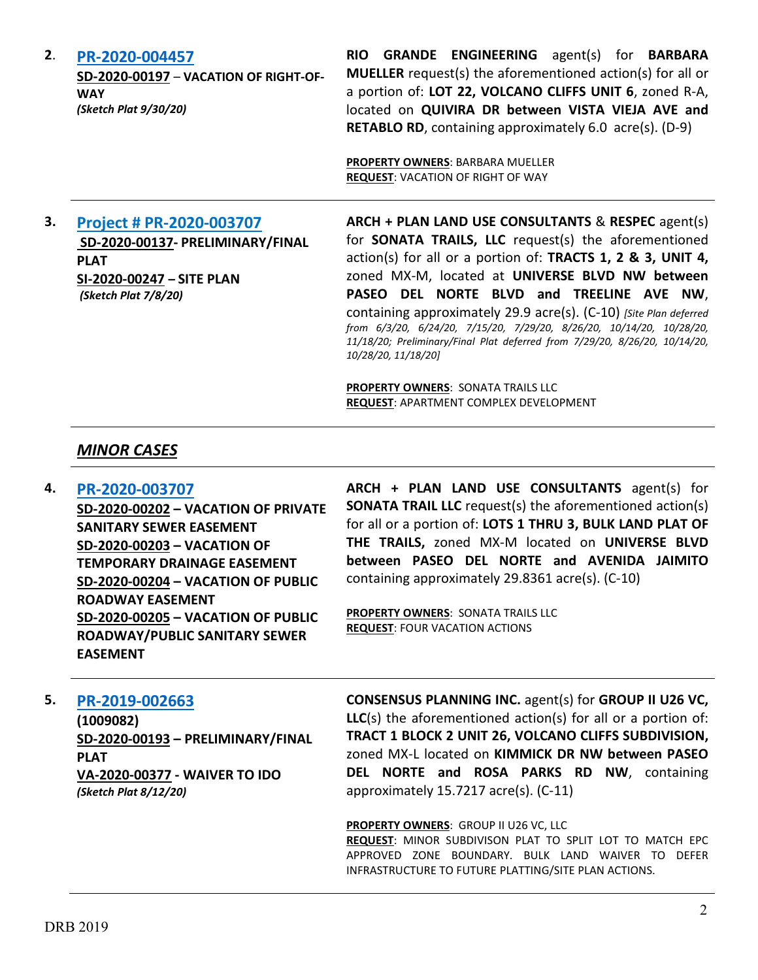**2**. **[PR-2020-004457](http://data.cabq.gov/government/planning/DRB/PR-2020-004457/DRB%20Submittals/PR-2020-004457_Dec_02_2020/Application/PR-2020-004457-%20QUIVIRA%20VACATION.pdf)**

**SD-2020-00197** – **VACATION OF RIGHT-OF-WAY** *(Sketch Plat 9/30/20)*

**RIO GRANDE ENGINEERING** agent(s) for **BARBARA MUELLER** request(s) the aforementioned action(s) for all or a portion of: **LOT 22, VOLCANO CLIFFS UNIT 6**, zoned R-A, located on **QUIVIRA DR between VISTA VIEJA AVE and RETABLO RD**, containing approximately 6.0 acre(s). (D-9)

**PROPERTY OWNERS**: BARBARA MUELLER **REQUEST**: VACATION OF RIGHT OF WAY

# **3. [Project # PR-2020-003707](http://data.cabq.gov/government/planning/DRB/PR-2020-003707/DRB%20Submittals/PR-2020-003707_Dec_02_2020_Supp/) SD-2020-00137- PRELIMINARY/FINAL PLAT SI-2020-00247 – SITE PLAN** *(Sketch Plat 7/8/20)*

**ARCH + PLAN LAND USE CONSULTANTS** & **RESPEC** agent(s) for **SONATA TRAILS, LLC** request(s) the aforementioned action(s) for all or a portion of: **TRACTS 1, 2 & 3, UNIT 4,**  zoned MX-M, located at **UNIVERSE BLVD NW between PASEO DEL NORTE BLVD and TREELINE AVE NW**, containing approximately 29.9 acre(s). (C-10) *[Site Plan deferred from 6/3/20, 6/24/20, 7/15/20, 7/29/20, 8/26/20, 10/14/20, 10/28/20, 11/18/20; Preliminary/Final Plat deferred from 7/29/20, 8/26/20, 10/14/20, 10/28/20, 11/18/20]*

**PROPERTY OWNERS**: SONATA TRAILS LLC **REQUEST**: APARTMENT COMPLEX DEVELOPMENT

# *MINOR CASES*

# **4. [PR-2020-003707](http://data.cabq.gov/government/planning/DRB/PR-2020-003707/DRB%20Submittals/PR-2020-003707_Dec_02_2020/Application/DRB%20VPR%20Arch%20&%20Plan%20PR-2020-003707.pdf)**

**SD-2020-00202 – VACATION OF PRIVATE SANITARY SEWER EASEMENT SD-2020-00203 – VACATION OF TEMPORARY DRAINAGE EASEMENT SD-2020-00204 – VACATION OF PUBLIC ROADWAY EASEMENT SD-2020-00205 – VACATION OF PUBLIC ROADWAY/PUBLIC SANITARY SEWER EASEMENT**

**ARCH + PLAN LAND USE CONSULTANTS** agent(s) for **SONATA TRAIL LLC** request(s) the aforementioned action(s) for all or a portion of: **LOTS 1 THRU 3, BULK LAND PLAT OF THE TRAILS,** zoned MX-M located on **UNIVERSE BLVD between PASEO DEL NORTE and AVENIDA JAIMITO** containing approximately 29.8361 acre(s). (C-10)

**PROPERTY OWNERS: SONATA TRAILS LLC REQUEST**: FOUR VACATION ACTIONS

### **5. [PR-2019-002663](http://data.cabq.gov/government/planning/DRB/PR-2019-002663/DRB%20Submittals/PR-2019-002663%20Plat%20and%20Waiver%20Application.pdf)**

**(1009082) SD-2020-00193 – PRELIMINARY/FINAL PLAT VA-2020-00377 - WAIVER TO IDO** *(Sketch Plat 8/12/20)*

**CONSENSUS PLANNING INC.** agent(s) for **GROUP II U26 VC, LLC**(s) the aforementioned action(s) for all or a portion of: **TRACT 1 BLOCK 2 UNIT 26, VOLCANO CLIFFS SUBDIVISION,**  zoned MX-L located on **KIMMICK DR NW between PASEO DEL NORTE and ROSA PARKS RD NW**, containing approximately 15.7217 acre(s). (C-11)

**PROPERTY OWNERS**: GROUP II U26 VC, LLC

**REQUEST**: MINOR SUBDIVISON PLAT TO SPLIT LOT TO MATCH EPC APPROVED ZONE BOUNDARY. BULK LAND WAIVER TO DEFER INFRASTRUCTURE TO FUTURE PLATTING/SITE PLAN ACTIONS.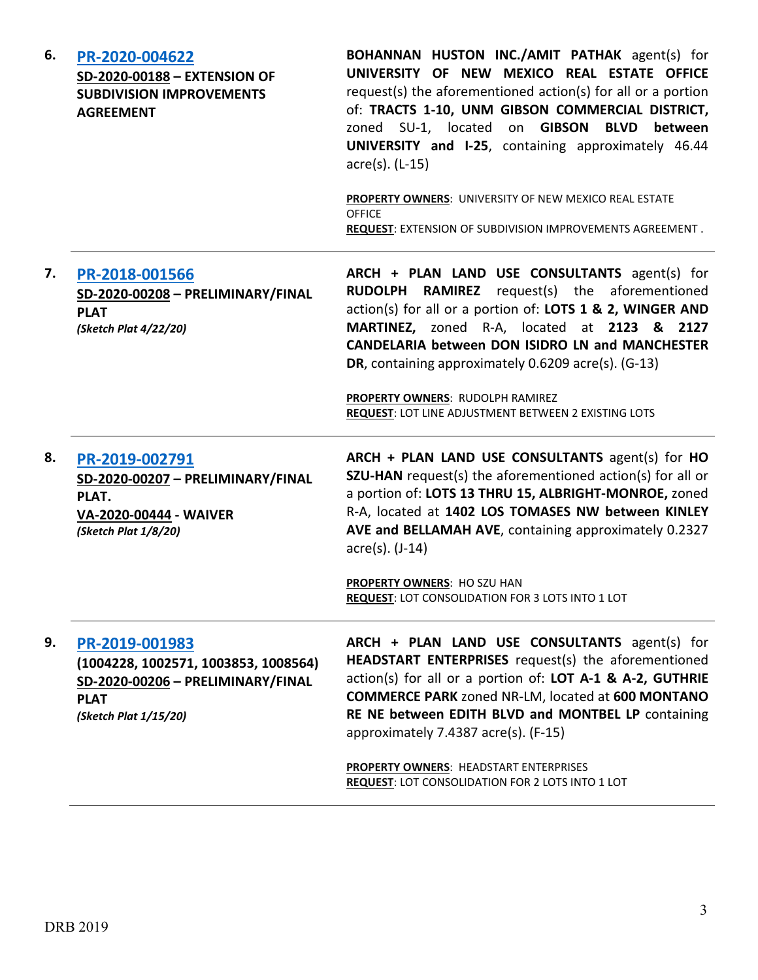| 6. | PR-2020-004622<br>SD-2020-00188 - EXTENSION OF<br><b>SUBDIVISION IMPROVEMENTS</b><br><b>AGREEMENT</b>                               | BOHANNAN HUSTON INC./AMIT PATHAK agent(s) for<br>UNIVERSITY OF NEW MEXICO REAL ESTATE OFFICE<br>request(s) the aforementioned action(s) for all or a portion<br>of: TRACTS 1-10, UNM GIBSON COMMERCIAL DISTRICT,<br>zoned SU-1, located on GIBSON<br><b>BLVD</b><br>between<br>UNIVERSITY and I-25, containing approximately 46.44<br>acre(s). (L-15)<br>PROPERTY OWNERS: UNIVERSITY OF NEW MEXICO REAL ESTATE<br><b>OFFICE</b><br><b>REQUEST: EXTENSION OF SUBDIVISION IMPROVEMENTS AGREEMENT.</b> |
|----|-------------------------------------------------------------------------------------------------------------------------------------|-----------------------------------------------------------------------------------------------------------------------------------------------------------------------------------------------------------------------------------------------------------------------------------------------------------------------------------------------------------------------------------------------------------------------------------------------------------------------------------------------------|
| 7. | PR-2018-001566<br>SD-2020-00208 - PRELIMINARY/FINAL<br><b>PLAT</b><br>(Sketch Plat 4/22/20)                                         | ARCH + PLAN LAND USE CONSULTANTS agent(s) for<br>RUDOLPH RAMIREZ<br>request(s) the aforementioned<br>action(s) for all or a portion of: LOTS 1 & 2, WINGER AND<br>MARTINEZ, zoned R-A, located at 2123 & 2127<br><b>CANDELARIA between DON ISIDRO LN and MANCHESTER</b><br>DR, containing approximately 0.6209 acre(s). (G-13)<br>PROPERTY OWNERS: RUDOLPH RAMIREZ<br><b>REQUEST: LOT LINE ADJUSTMENT BETWEEN 2 EXISTING LOTS</b>                                                                   |
| 8. | PR-2019-002791<br>SD-2020-00207 - PRELIMINARY/FINAL<br>PLAT.<br>VA-2020-00444 - WAIVER<br>(Sketch Plat 1/8/20)                      | ARCH + PLAN LAND USE CONSULTANTS agent(s) for HO<br>SZU-HAN request(s) the aforementioned action(s) for all or<br>a portion of: LOTS 13 THRU 15, ALBRIGHT-MONROE, zoned<br>R-A, located at 1402 LOS TOMASES NW between KINLEY<br>AVE and BELLAMAH AVE, containing approximately 0.2327<br>acre(s). (J-14)<br>PROPERTY OWNERS: HO SZU HAN<br><b>REQUEST: LOT CONSOLIDATION FOR 3 LOTS INTO 1 LOT</b>                                                                                                 |
| 9. | PR-2019-001983<br>(1004228, 1002571, 1003853, 1008564)<br>SD-2020-00206 - PRELIMINARY/FINAL<br><b>PLAT</b><br>(Sketch Plat 1/15/20) | ARCH + PLAN LAND USE CONSULTANTS agent(s) for<br>HEADSTART ENTERPRISES request(s) the aforementioned<br>action(s) for all or a portion of: LOT A-1 & A-2, GUTHRIE<br><b>COMMERCE PARK zoned NR-LM, located at 600 MONTANO</b><br>RE NE between EDITH BLVD and MONTBEL LP containing<br>approximately 7.4387 acre(s). (F-15)                                                                                                                                                                         |
|    |                                                                                                                                     | PROPERTY OWNERS: HEADSTART ENTERPRISES<br>REQUEST: LOT CONSOLIDATION FOR 2 LOTS INTO 1 LOT                                                                                                                                                                                                                                                                                                                                                                                                          |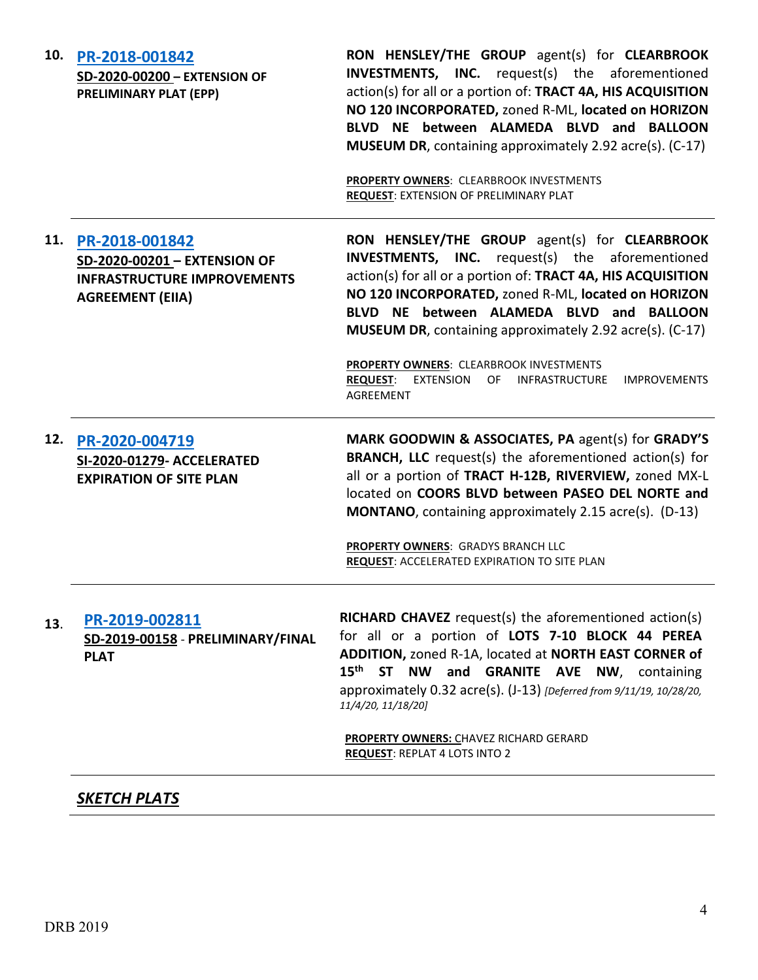| 10. | PR-2018-001842<br>SD-2020-00200 - EXTENSION OF<br><b>PRELIMINARY PLAT (EPP)</b>                                 | RON HENSLEY/THE GROUP agent(s) for CLEARBROOK<br><b>INVESTMENTS, INC.</b> request(s) the aforementioned<br>action(s) for all or a portion of: TRACT 4A, HIS ACQUISITION<br>NO 120 INCORPORATED, zoned R-ML, located on HORIZON<br>BLVD NE between ALAMEDA BLVD and BALLOON<br><b>MUSEUM DR</b> , containing approximately 2.92 acre(s). (C-17)<br><b>PROPERTY OWNERS: CLEARBROOK INVESTMENTS</b><br><b>REQUEST: EXTENSION OF PRELIMINARY PLAT</b> |
|-----|-----------------------------------------------------------------------------------------------------------------|---------------------------------------------------------------------------------------------------------------------------------------------------------------------------------------------------------------------------------------------------------------------------------------------------------------------------------------------------------------------------------------------------------------------------------------------------|
| 11. | PR-2018-001842<br>SD-2020-00201 - EXTENSION OF<br><b>INFRASTRUCTURE IMPROVEMENTS</b><br><b>AGREEMENT (EIIA)</b> | RON HENSLEY/THE GROUP agent(s) for CLEARBROOK<br><b>INVESTMENTS, INC.</b> request(s) the aforementioned<br>action(s) for all or a portion of: TRACT 4A, HIS ACQUISITION<br>NO 120 INCORPORATED, zoned R-ML, located on HORIZON<br>BLVD NE between ALAMEDA BLVD and BALLOON<br><b>MUSEUM DR</b> , containing approximately 2.92 acre(s). (C-17)                                                                                                    |
|     |                                                                                                                 | <b>PROPERTY OWNERS: CLEARBROOK INVESTMENTS</b><br><b>REQUEST:</b><br>EXTENSION<br>OF<br>INFRASTRUCTURE<br><b>IMPROVEMENTS</b><br><b>AGREEMENT</b>                                                                                                                                                                                                                                                                                                 |
| 12. | PR-2020-004719<br>SI-2020-01279- ACCELERATED<br><b>EXPIRATION OF SITE PLAN</b>                                  | MARK GOODWIN & ASSOCIATES, PA agent(s) for GRADY'S<br><b>BRANCH, LLC</b> request(s) the aforementioned action(s) for<br>all or a portion of TRACT H-12B, RIVERVIEW, zoned MX-L<br>located on COORS BLVD between PASEO DEL NORTE and<br><b>MONTANO</b> , containing approximately 2.15 acre(s). (D-13)                                                                                                                                             |
|     |                                                                                                                 | PROPERTY OWNERS: GRADYS BRANCH LLC<br><b>REQUEST: ACCELERATED EXPIRATION TO SITE PLAN</b>                                                                                                                                                                                                                                                                                                                                                         |
| 13. | PR-2019-002811<br>SD-2019-00158 - PRELIMINARY/FINAL<br><b>PLAT</b>                                              | <b>RICHARD CHAVEZ</b> request(s) the aforementioned action(s)<br>for all or a portion of LOTS 7-10 BLOCK 44 PEREA<br>ADDITION, zoned R-1A, located at NORTH EAST CORNER of<br>15 <sup>th</sup> ST NW and GRANITE AVE NW, containing<br>approximately 0.32 acre(s). (J-13) [Deferred from 9/11/19, 10/28/20,<br>11/4/20, 11/18/20]                                                                                                                 |
|     |                                                                                                                 | PROPERTY OWNERS: CHAVEZ RICHARD GERARD<br><b>REQUEST: REPLAT 4 LOTS INTO 2</b>                                                                                                                                                                                                                                                                                                                                                                    |
|     |                                                                                                                 |                                                                                                                                                                                                                                                                                                                                                                                                                                                   |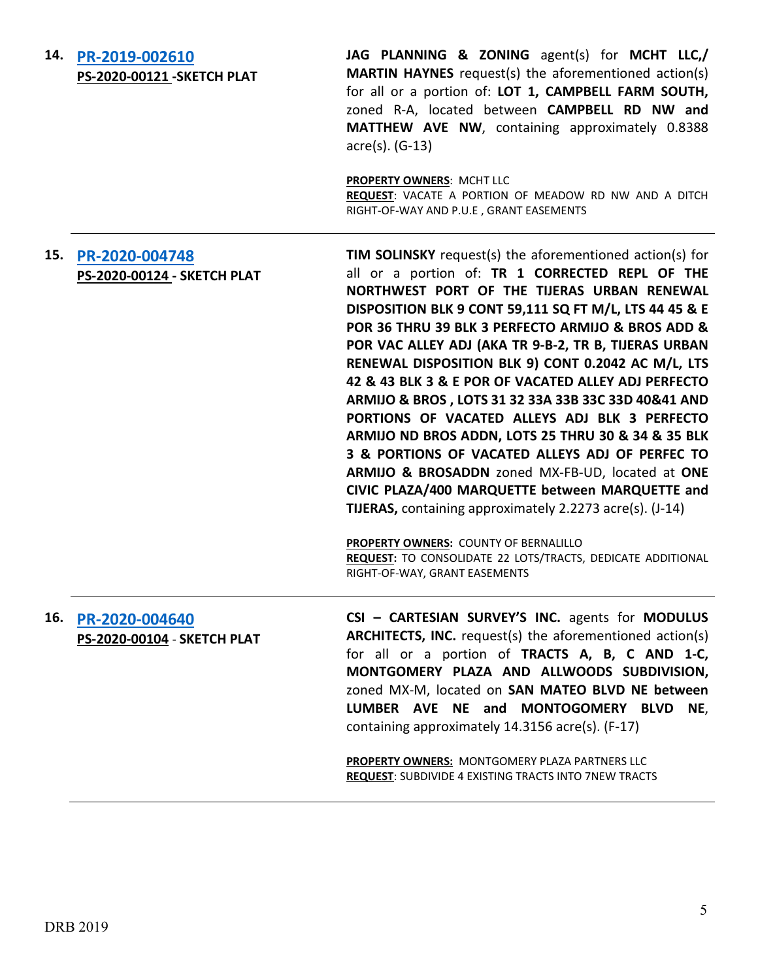|     | 14. PR-2019-002610<br><b>PS-2020-00121-SKETCH PLAT</b> | JAG PLANNING & ZONING agent(s) for MCHT LLC,/<br>MARTIN HAYNES request(s) the aforementioned action(s)<br>for all or a portion of: LOT 1, CAMPBELL FARM SOUTH,<br>zoned R-A, located between CAMPBELL RD NW and<br>MATTHEW AVE NW, containing approximately 0.8388<br>acre(s). (G-13)<br><b>PROPERTY OWNERS: MCHT LLC</b>                                                                                                                                                                                                                                                                                                                                                                                                                                                                                                                 |
|-----|--------------------------------------------------------|-------------------------------------------------------------------------------------------------------------------------------------------------------------------------------------------------------------------------------------------------------------------------------------------------------------------------------------------------------------------------------------------------------------------------------------------------------------------------------------------------------------------------------------------------------------------------------------------------------------------------------------------------------------------------------------------------------------------------------------------------------------------------------------------------------------------------------------------|
|     |                                                        | REQUEST: VACATE A PORTION OF MEADOW RD NW AND A DITCH<br>RIGHT-OF-WAY AND P.U.E, GRANT EASEMENTS                                                                                                                                                                                                                                                                                                                                                                                                                                                                                                                                                                                                                                                                                                                                          |
| 15. | PR-2020-004748<br>PS-2020-00124 - SKETCH PLAT          | <b>TIM SOLINSKY</b> request(s) the aforementioned action(s) for<br>all or a portion of: TR 1 CORRECTED REPL OF THE<br>NORTHWEST PORT OF THE TIJERAS URBAN RENEWAL<br>DISPOSITION BLK 9 CONT 59,111 SQ FT M/L, LTS 44 45 & E<br>POR 36 THRU 39 BLK 3 PERFECTO ARMIJO & BROS ADD &<br>POR VAC ALLEY ADJ (AKA TR 9-B-2, TR B, TIJERAS URBAN<br>RENEWAL DISPOSITION BLK 9) CONT 0.2042 AC M/L, LTS<br>42 & 43 BLK 3 & E POR OF VACATED ALLEY ADJ PERFECTO<br>ARMIJO & BROS, LOTS 31 32 33A 33B 33C 33D 40&41 AND<br>PORTIONS OF VACATED ALLEYS ADJ BLK 3 PERFECTO<br>ARMIJO ND BROS ADDN, LOTS 25 THRU 30 & 34 & 35 BLK<br>3 & PORTIONS OF VACATED ALLEYS ADJ OF PERFEC TO<br>ARMIJO & BROSADDN zoned MX-FB-UD, located at ONE<br>CIVIC PLAZA/400 MARQUETTE between MARQUETTE and<br>TIJERAS, containing approximately 2.2273 acre(s). (J-14) |
|     |                                                        | <b>PROPERTY OWNERS: COUNTY OF BERNALILLO</b><br><b>REQUEST:</b> TO CONSOLIDATE 22 LOTS/TRACTS, DEDICATE ADDITIONAL<br>RIGHT-OF-WAY, GRANT EASEMENTS                                                                                                                                                                                                                                                                                                                                                                                                                                                                                                                                                                                                                                                                                       |
| 16. | PR-2020-004640<br>PS-2020-00104 - SKETCH PLAT          | CSI - CARTESIAN SURVEY'S INC. agents for MODULUS<br><b>ARCHITECTS, INC.</b> request(s) the aforementioned action(s)<br>for all or a portion of TRACTS A, B, C AND 1-C,<br>MONTGOMERY PLAZA AND ALLWOODS SUBDIVISION,<br>zoned MX-M, located on SAN MATEO BLVD NE between<br>LUMBER AVE NE and MONTOGOMERY BLVD NE,<br>containing approximately 14.3156 acre(s). (F-17)<br><b>DRODERTY OWNERS: MONTGOMERY DLAZA DARTNERS LLC</b>                                                                                                                                                                                                                                                                                                                                                                                                           |

**PROPERTY OWNERS:** MONTGOMERY PLAZA PARTNERS LLC **REQUEST**: SUBDIVIDE 4 EXISTING TRACTS INTO 7NEW TRACTS